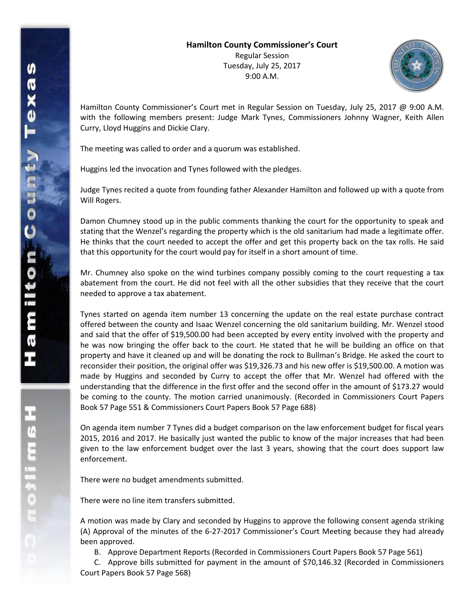

Hamilton County Commissioner's Court met in Regular Session on Tuesday, July 25, 2017 @ 9:00 A.M. with the following members present: Judge Mark Tynes, Commissioners Johnny Wagner, Keith Allen Curry, Lloyd Huggins and Dickie Clary.

The meeting was called to order and a quorum was established.

Huggins led the invocation and Tynes followed with the pledges.

Judge Tynes recited a quote from founding father Alexander Hamilton and followed up with a quote from Will Rogers.

Damon Chumney stood up in the public comments thanking the court for the opportunity to speak and stating that the Wenzel's regarding the property which is the old sanitarium had made a legitimate offer. He thinks that the court needed to accept the offer and get this property back on the tax rolls. He said that this opportunity for the court would pay for itself in a short amount of time.

Mr. Chumney also spoke on the wind turbines company possibly coming to the court requesting a tax abatement from the court. He did not feel with all the other subsidies that they receive that the court needed to approve a tax abatement.

Tynes started on agenda item number 13 concerning the update on the real estate purchase contract offered between the county and Isaac Wenzel concerning the old sanitarium building. Mr. Wenzel stood and said that the offer of \$19,500.00 had been accepted by every entity involved with the property and he was now bringing the offer back to the court. He stated that he will be building an office on that property and have it cleaned up and will be donating the rock to Bullman's Bridge. He asked the court to reconsider their position, the original offer was \$19,326.73 and his new offer is \$19,500.00. A motion was made by Huggins and seconded by Curry to accept the offer that Mr. Wenzel had offered with the understanding that the difference in the first offer and the second offer in the amount of \$173.27 would be coming to the county. The motion carried unanimously. (Recorded in Commissioners Court Papers Book 57 Page 551 & Commissioners Court Papers Book 57 Page 688)

On agenda item number 7 Tynes did a budget comparison on the law enforcement budget for fiscal years 2015, 2016 and 2017. He basically just wanted the public to know of the major increases that had been given to the law enforcement budget over the last 3 years, showing that the court does support law enforcement.

There were no budget amendments submitted.

There were no line item transfers submitted.

A motion was made by Clary and seconded by Huggins to approve the following consent agenda striking (A) Approval of the minutes of the 6-27-2017 Commissioner's Court Meeting because they had already been approved.

B. Approve Department Reports (Recorded in Commissioners Court Papers Book 57 Page 561)

C. Approve bills submitted for payment in the amount of \$70,146.32 (Recorded in Commissioners Court Papers Book 57 Page 568)

**H**<br>Continue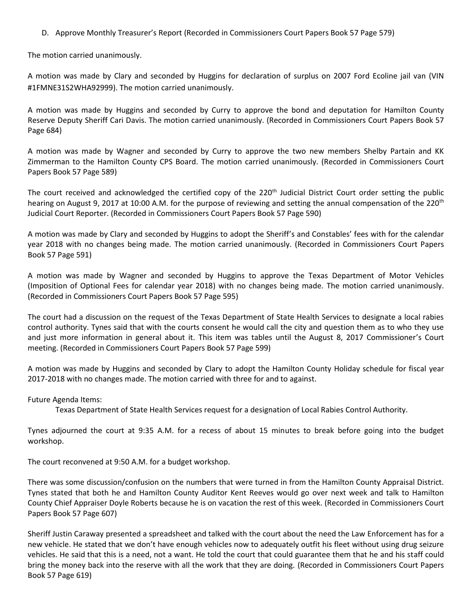D. Approve Monthly Treasurer's Report (Recorded in Commissioners Court Papers Book 57 Page 579)

The motion carried unanimously.

A motion was made by Clary and seconded by Huggins for declaration of surplus on 2007 Ford Ecoline jail van (VIN #1FMNE31S2WHA92999). The motion carried unanimously.

A motion was made by Huggins and seconded by Curry to approve the bond and deputation for Hamilton County Reserve Deputy Sheriff Cari Davis. The motion carried unanimously. (Recorded in Commissioners Court Papers Book 57 Page 684)

A motion was made by Wagner and seconded by Curry to approve the two new members Shelby Partain and KK Zimmerman to the Hamilton County CPS Board. The motion carried unanimously. (Recorded in Commissioners Court Papers Book 57 Page 589)

The court received and acknowledged the certified copy of the  $220<sup>th</sup>$  Judicial District Court order setting the public hearing on August 9, 2017 at 10:00 A.M. for the purpose of reviewing and setting the annual compensation of the 220<sup>th</sup> Judicial Court Reporter. (Recorded in Commissioners Court Papers Book 57 Page 590)

A motion was made by Clary and seconded by Huggins to adopt the Sheriff's and Constables' fees with for the calendar year 2018 with no changes being made. The motion carried unanimously. (Recorded in Commissioners Court Papers Book 57 Page 591)

A motion was made by Wagner and seconded by Huggins to approve the Texas Department of Motor Vehicles (Imposition of Optional Fees for calendar year 2018) with no changes being made. The motion carried unanimously. (Recorded in Commissioners Court Papers Book 57 Page 595)

The court had a discussion on the request of the Texas Department of State Health Services to designate a local rabies control authority. Tynes said that with the courts consent he would call the city and question them as to who they use and just more information in general about it. This item was tables until the August 8, 2017 Commissioner's Court meeting. (Recorded in Commissioners Court Papers Book 57 Page 599)

A motion was made by Huggins and seconded by Clary to adopt the Hamilton County Holiday schedule for fiscal year 2017-2018 with no changes made. The motion carried with three for and to against.

Future Agenda Items:

Texas Department of State Health Services request for a designation of Local Rabies Control Authority.

Tynes adjourned the court at 9:35 A.M. for a recess of about 15 minutes to break before going into the budget workshop.

The court reconvened at 9:50 A.M. for a budget workshop.

There was some discussion/confusion on the numbers that were turned in from the Hamilton County Appraisal District. Tynes stated that both he and Hamilton County Auditor Kent Reeves would go over next week and talk to Hamilton County Chief Appraiser Doyle Roberts because he is on vacation the rest of this week. (Recorded in Commissioners Court Papers Book 57 Page 607)

Sheriff Justin Caraway presented a spreadsheet and talked with the court about the need the Law Enforcement has for a new vehicle. He stated that we don't have enough vehicles now to adequately outfit his fleet without using drug seizure vehicles. He said that this is a need, not a want. He told the court that could guarantee them that he and his staff could bring the money back into the reserve with all the work that they are doing. (Recorded in Commissioners Court Papers Book 57 Page 619)